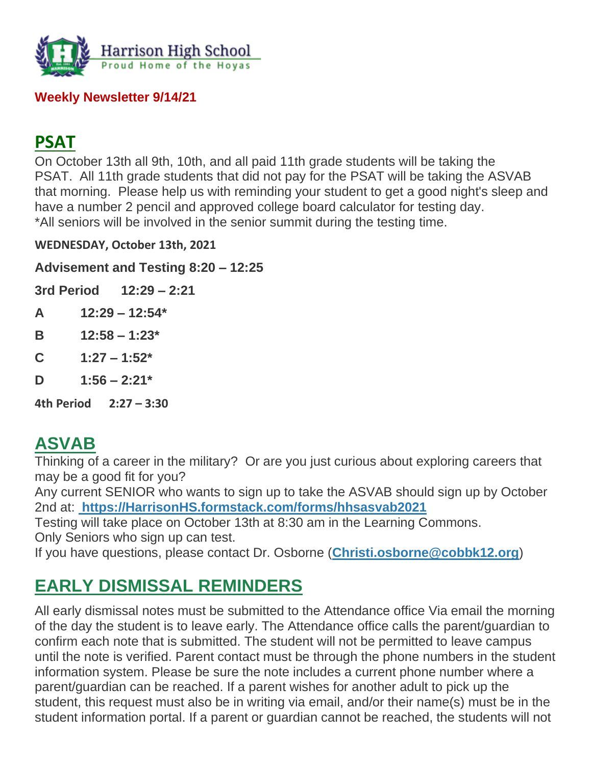

#### **Weekly Newsletter 9/14/21**

## **PSAT**

On October 13th all 9th, 10th, and all paid 11th grade students will be taking the PSAT. All 11th grade students that did not pay for the PSAT will be taking the ASVAB that morning. Please help us with reminding your student to get a good night's sleep and have a number 2 pencil and approved college board calculator for testing day. \*All seniors will be involved in the senior summit during the testing time.

**WEDNESDAY, October 13th, 2021**

**Advisement and Testing 8:20 – 12:25** 

**3rd Period 12:29 – 2:21**

- **A 12:29 – 12:54\***
- **B 12:58 – 1:23\***
- **C 1:27 – 1:52\***
- **D 1:56 – 2:21\***

**4th Period 2:27 – 3:30** 

# **ASVAB**

Thinking of a career in the military? Or are you just curious about exploring careers that may be a good fit for you?

Any current SENIOR who wants to sign up to take the ASVAB should sign up by October 2nd at: **[https://HarrisonHS.formstack.com/forms/hhsasvab2021](http://url503.cobbk12.org/ls/click?upn=k2a9oSGmmBVDQ-2BEzH5jEzTLwNsB7PjW5hg5PGN5MBErgA2mfdTGJYZ8161VJq8elInUWbt7VWUatd6EHYzXTsg-3D-3D69CF_W-2BfLYUoUwwI1tuGClKRhhPOSepcZIFoXnUIMjiA717kQ1i13BNQTwwJ9cl-2BWArXrjMDzmdYDAz26vF1M-2BNMQljB6pUPcpyHCJs2fZxeGMsIbsZca1Vw7pIqXUrBhdH-2FtQfQnC-2BWRuI1zloNVKE6ZC-2BsuMNvs1UXK-2FOI8fvX6F-2FYhkKnx-2BrhGjbQ-2B-2BQqz0NDoB4FBixDjbq8ZBFBUhAjjxfW-2BrNxmaLeTmoDkprXrhrraTaZ7a3ZUREk7UU2gomYn0zojY1NpM-2FzWIUVXp-2FujDA-3D-3D)**

Testing will take place on October 13th at 8:30 am in the Learning Commons. Only Seniors who sign up can test.

If you have questions, please contact Dr. Osborne (**[Christi.osborne@cobbk12.org](mailto:christi.osborne@cobbk12.org)**)

# **EARLY DISMISSAL REMINDERS**

All early dismissal notes must be submitted to the Attendance office Via email the morning of the day the student is to leave early. The Attendance office calls the parent/guardian to confirm each note that is submitted. The student will not be permitted to leave campus until the note is verified. Parent contact must be through the phone numbers in the student information system. Please be sure the note includes a current phone number where a parent/guardian can be reached. If a parent wishes for another adult to pick up the student, this request must also be in writing via email, and/or their name(s) must be in the student information portal. If a parent or guardian cannot be reached, the students will not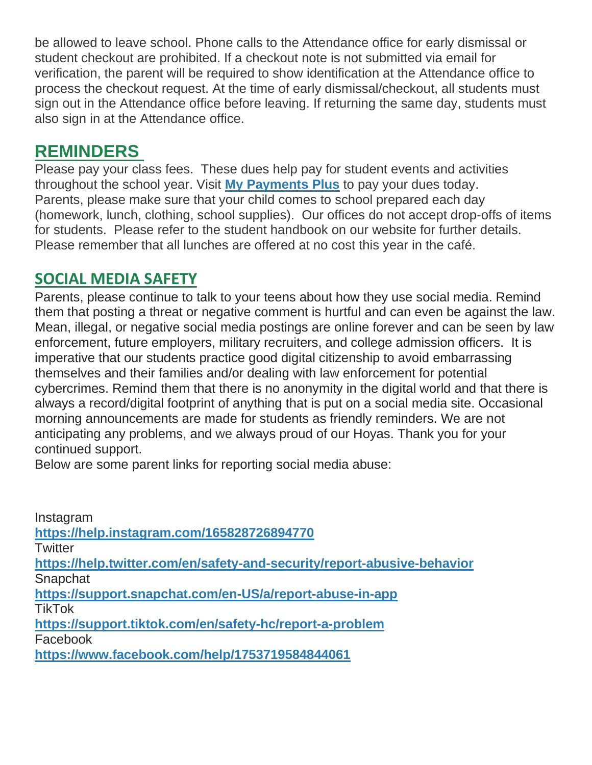be allowed to leave school. Phone calls to the Attendance office for early dismissal or student checkout are prohibited. If a checkout note is not submitted via email for verification, the parent will be required to show identification at the Attendance office to process the checkout request. At the time of early dismissal/checkout, all students must sign out in the Attendance office before leaving. If returning the same day, students must also sign in at the Attendance office.

## **REMINDERS**

Please pay your class fees. These dues help pay for student events and activities throughout the school year. Visit **[My Payments Plus](http://url503.cobbk12.org/ls/click?upn=oq5wnnHoD1NAxpT8rNAGXBxh8XnDVEDw5bvdQ2ADwSG1Bh0D2uOXMojjZ7F-2BABXkiU2B_W-2BfLYUoUwwI1tuGClKRhhPOSepcZIFoXnUIMjiA717kQ1i13BNQTwwJ9cl-2BWArXrjMDzmdYDAz26vF1M-2BNMQljB6pUPcpyHCJs2fZxeGMsIbsZca1Vw7pIqXUrBhdH-2FtWpzrPNZwGspCLNgRkNjAr5xSHKSI21Zy01Ge32VlZfbjIoy2FtaFxOsXyLzSAJ6iP5ukTKi6Z55-2BMsHs-2BDhZD86snJrVRvMuPWL0HFfHVBeug-2F5yxra-2BgbMSXSrw3LeWSeVqsz2Vo3mAI5BOpf-2Fw7A-3D-3D)** to pay your dues today. Parents, please make sure that your child comes to school prepared each day (homework, lunch, clothing, school supplies). Our offices do not accept drop-offs of items for students. Please refer to the student handbook on our website for further details. Please remember that all lunches are offered at no cost this year in the café.

#### **SOCIAL MEDIA SAFETY**

Parents, please continue to talk to your teens about how they use social media. Remind them that posting a threat or negative comment is hurtful and can even be against the law. Mean, illegal, or negative social media postings are online forever and can be seen by law enforcement, future employers, military recruiters, and college admission officers. It is imperative that our students practice good digital citizenship to avoid embarrassing themselves and their families and/or dealing with law enforcement for potential cybercrimes. Remind them that there is no anonymity in the digital world and that there is always a record/digital footprint of anything that is put on a social media site. Occasional morning announcements are made for students as friendly reminders. We are not anticipating any problems, and we always proud of our Hoyas. Thank you for your continued support.

Below are some parent links for reporting social media abuse:

| Instagram                                                               |
|-------------------------------------------------------------------------|
| https://help.instagram.com/165828726894770                              |
| Twitter                                                                 |
| https://help.twitter.com/en/safety-and-security/report-abusive-behavior |
| Snapchat                                                                |
| https://support.snapchat.com/en-US/a/report-abuse-in-app                |
| TikTok                                                                  |
| https://support.tiktok.com/en/safety-hc/report-a-problem                |
| Facebook                                                                |
| https://www.facebook.com/help/1753719584844061                          |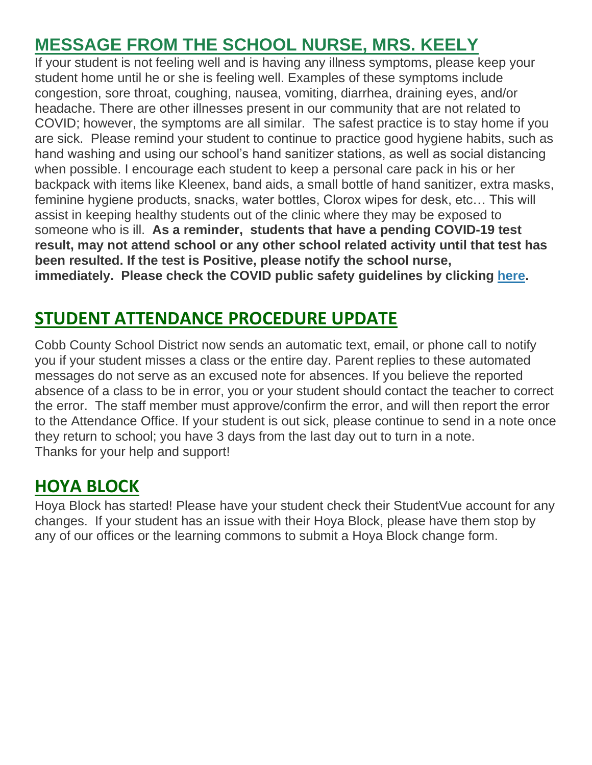# **MESSAGE FROM THE SCHOOL NURSE, MRS. KEELY**

If your student is not feeling well and is having any illness symptoms, please keep your student home until he or she is feeling well. Examples of these symptoms include congestion, sore throat, coughing, nausea, vomiting, diarrhea, draining eyes, and/or headache. There are other illnesses present in our community that are not related to COVID; however, the symptoms are all similar. The safest practice is to stay home if you are sick. Please remind your student to continue to practice good hygiene habits, such as hand washing and using our school's hand sanitizer stations, as well as social distancing when possible. I encourage each student to keep a personal care pack in his or her backpack with items like Kleenex, band aids, a small bottle of hand sanitizer, extra masks, feminine hygiene products, snacks, water bottles, Clorox wipes for desk, etc… This will assist in keeping healthy students out of the clinic where they may be exposed to someone who is ill. **As a reminder, students that have a pending COVID-19 test result, may not attend school or any other school related activity until that test has been resulted. If the test is Positive, please notify the school nurse, immediately. Please check the COVID public safety guidelines by clicking [here.](http://url503.cobbk12.org/ls/click?upn=HU5K2q0Fz5ADTGboxPzOzV-2FXL0qE7BYVJk79MoYchrZWdsD9h51KLB7MAwnNk4bduBCKXdSjAtvgDfeSrAvkP-2FXpTWSmqoA9rQ6IldOoWgW-2BBSPxVF9rSKnpcOCULdVBdLhE_W-2BfLYUoUwwI1tuGClKRhhPOSepcZIFoXnUIMjiA717kQ1i13BNQTwwJ9cl-2BWArXrjMDzmdYDAz26vF1M-2BNMQljB6pUPcpyHCJs2fZxeGMsIbsZca1Vw7pIqXUrBhdH-2FtpRq-2FvLYfvnuzuMyTU4mEh2H4bbmv-2FEOV73eukdzjAXMQulvMkgMWBNTCqbL2g4UDykRyQ8hTja8aauMNMWnnxVJ6OHkrsIeUKF4KxrDwph4W7f-2FAh8xLikvAGDk-2BZgyNdcu6ijU7tfs-2BbzDaXiWisQ-3D-3D)**

# **STUDENT ATTENDANCE PROCEDURE UPDATE**

Cobb County School District now sends an automatic text, email, or phone call to notify you if your student misses a class or the entire day. Parent replies to these automated messages do not serve as an excused note for absences. If you believe the reported absence of a class to be in error, you or your student should contact the teacher to correct the error. The staff member must approve/confirm the error, and will then report the error to the Attendance Office. If your student is out sick, please continue to send in a note once they return to school; you have 3 days from the last day out to turn in a note. Thanks for your help and support!

## **HOYA BLOCK**

Hoya Block has started! Please have your student check their StudentVue account for any changes. If your student has an issue with their Hoya Block, please have them stop by any of our offices or the learning commons to submit a Hoya Block change form.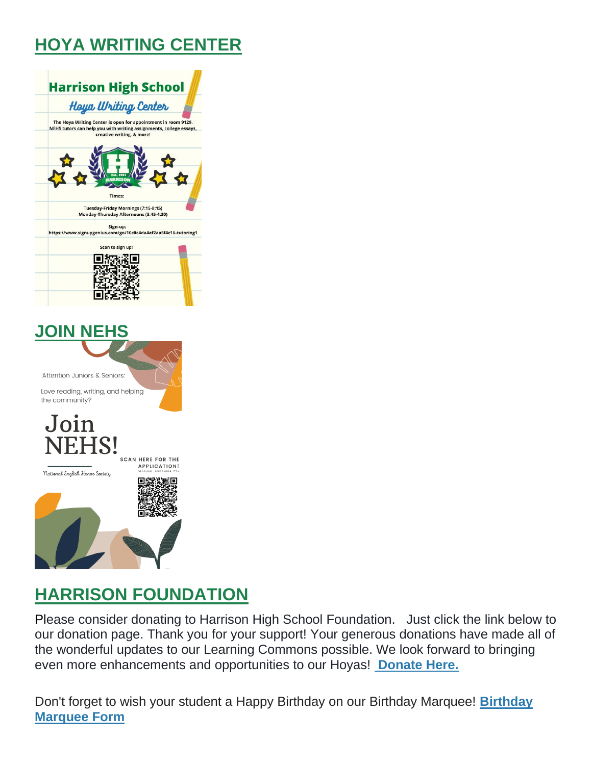# **HOYA WRITING CENTER**



# **HARRISON FOUNDATION**

Please consider donating to Harrison High School Foundation. Just click the link below to our donation page. Thank you for your support! Your generous donations have made all of the wonderful updates to our Learning Commons possible. We look forward to bringing even more enhancements and opportunities to our Hoyas! **[Donate Here.](http://url503.cobbk12.org/ls/click?upn=Q-2BKaVIKfS2AqG1NntRWXIuucmBLXHt0VTW51eWbEyXA9vECQY59-2B780kb-2FbreNPOEKe8lsI4uWP1Ku4nVNI6n9ZM-2Bf6t8k2Mf60kGEl-2BbB6n-2Bcw5TNbA1LOGstYOS0LuCZVTkfICdBZjtkBUUiJMf5XkmYZMQKWt7xXjslumnkcAJMCLQEclgUwqjiYMyN3-2FRHHaTAekXZpbW4gR3l4eo1kFOLd-2FxeBPLFOQz6H8viVWYuSSTnSg2Ujd1KIxs4frbqRWBdvhKUjNFTzHnuuVXtpUBgfMaZFGc1HrcbaqeORqBPRhDAxwktdpUOMlxk-2B9CEMU-2BK6J3OoueRbBluxh-2BIlHnXLF5fvUM3GJ-2B6UQR9YCPwImSqabB7d9HLmQlBJuhghhHAD1N7m8BEd0mmaTzHrDE6rG4vlXbE-2B32Fd-2B2bHRByO3-2Bp-2B3Q1PjoiD8h3qubaJQdI-2BhGjgkumhEEycAPQ-3D-3DiWgu_W-2BfLYUoUwwI1tuGClKRhhPOSepcZIFoXnUIMjiA717kQ1i13BNQTwwJ9cl-2BWArXrjMDzmdYDAz26vF1M-2BNMQljB6pUPcpyHCJs2fZxeGMsIbsZca1Vw7pIqXUrBhdH-2FtVs9yH1mpG2UGi3N7wU3RC3CPKu8bFQpOzNpQ2eHPJR7Ya2wvk0eE2LtsKI4NMsDsVr3VNjGO-2F0hgdLjOmzORCMOYtQLDEmAbZeZl-2FsTDnix9IV8u44bOoegTC0d7-2F6NKSynMtDAORDHrTPJxsGSUUg-3D-3D)**

Don't forget to wish your student a Happy Birthday on our Birthday Marquee! **[Birthday](http://url503.cobbk12.org/ls/click?upn=Q-2BKaVIKfS2AqG1NntRWXIuucmBLXHt0VTW51eWbEyXA9vECQY59-2B780kb-2FbreNPOEKe8lsI4uWP1Ku4nVNI6n9ZM-2Bf6t8k2Mf60kGEl-2BbB6n-2Bcw5TNbA1LOGstYOS0LuCZVTkfICdBZjtkBUUiJMf5XkmYZMQKWt7xXjslumnkcAJMCLQEclgUwqjiYMyN3-2FRHHaTAekXZpbW4gR3l4eo1kFOLd-2FxeBPLFOQz6H8viVWYuSSTnSg2Ujd1KIxs4frbqRWBdvhKUjNFTzHnuuVXtpUBgfMaZFGc1HrcbaqeORqBPRhDAxwktdpUOMlxk-2B9CEMU-2BK6J3OoueRbBluxh-2BIlHnXLF5fvUM3GJ-2B6UQR9YCPwImSqabB7d9HLmQlBJuhghhHAD1N7m8BEd0mmaTzHrDE6rG4vlXbE-2B32Fd-2B2bHRByO3-2Bp-2B3Q1PjoiD8h3qubaJQdI-2BhGjgkumhEEycAPQ-3D-3D4vTP_W-2BfLYUoUwwI1tuGClKRhhPOSepcZIFoXnUIMjiA717kQ1i13BNQTwwJ9cl-2BWArXrjMDzmdYDAz26vF1M-2BNMQljB6pUPcpyHCJs2fZxeGMsIbsZca1Vw7pIqXUrBhdH-2FtibcjNSIivISSAudyJTM0sFKDgSFzucv9tTh3YwSl7rr4RSyu-2FxDM2CMlLj-2FQ-2BfoSzFDy9PAr966HkVB1Ki7stD-2Bx81RZF5Df5sdlMcxlDbVebKoMPcHyfkcPMB70BCMgwXroEKBFUUHWeR0zgki8Lg-3D-3D)  [Marquee Form](http://url503.cobbk12.org/ls/click?upn=Q-2BKaVIKfS2AqG1NntRWXIuucmBLXHt0VTW51eWbEyXA9vECQY59-2B780kb-2FbreNPOEKe8lsI4uWP1Ku4nVNI6n9ZM-2Bf6t8k2Mf60kGEl-2BbB6n-2Bcw5TNbA1LOGstYOS0LuCZVTkfICdBZjtkBUUiJMf5XkmYZMQKWt7xXjslumnkcAJMCLQEclgUwqjiYMyN3-2FRHHaTAekXZpbW4gR3l4eo1kFOLd-2FxeBPLFOQz6H8viVWYuSSTnSg2Ujd1KIxs4frbqRWBdvhKUjNFTzHnuuVXtpUBgfMaZFGc1HrcbaqeORqBPRhDAxwktdpUOMlxk-2B9CEMU-2BK6J3OoueRbBluxh-2BIlHnXLF5fvUM3GJ-2B6UQR9YCPwImSqabB7d9HLmQlBJuhghhHAD1N7m8BEd0mmaTzHrDE6rG4vlXbE-2B32Fd-2B2bHRByO3-2Bp-2B3Q1PjoiD8h3qubaJQdI-2BhGjgkumhEEycAPQ-3D-3D4vTP_W-2BfLYUoUwwI1tuGClKRhhPOSepcZIFoXnUIMjiA717kQ1i13BNQTwwJ9cl-2BWArXrjMDzmdYDAz26vF1M-2BNMQljB6pUPcpyHCJs2fZxeGMsIbsZca1Vw7pIqXUrBhdH-2FtibcjNSIivISSAudyJTM0sFKDgSFzucv9tTh3YwSl7rr4RSyu-2FxDM2CMlLj-2FQ-2BfoSzFDy9PAr966HkVB1Ki7stD-2Bx81RZF5Df5sdlMcxlDbVebKoMPcHyfkcPMB70BCMgwXroEKBFUUHWeR0zgki8Lg-3D-3D)**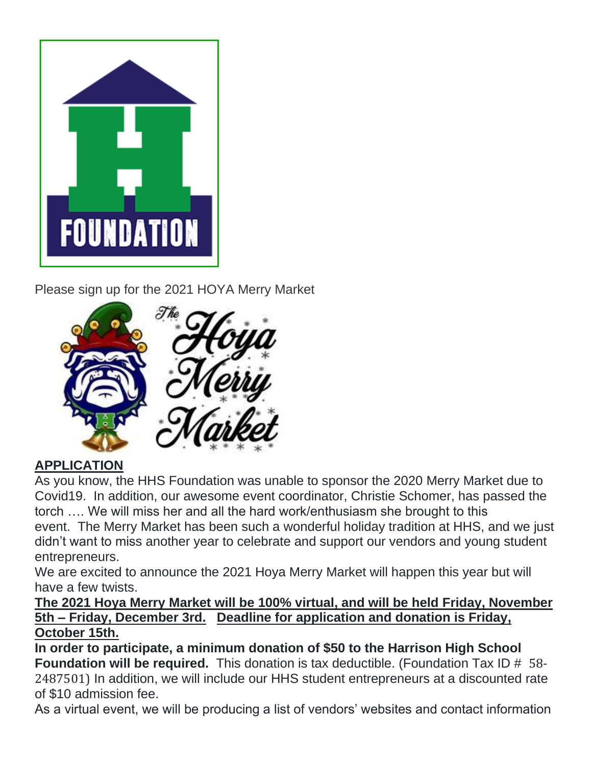

Please sign up for the 2021 HOYA Merry Market



#### **APPLICATION**

As you know, the HHS Foundation was unable to sponsor the 2020 Merry Market due to Covid19. In addition, our awesome event coordinator, Christie Schomer, has passed the torch …. We will miss her and all the hard work/enthusiasm she brought to this event. The Merry Market has been such a wonderful holiday tradition at HHS, and we just didn't want to miss another year to celebrate and support our vendors and young student entrepreneurs.

We are excited to announce the 2021 Hoya Merry Market will happen this year but will have a few twists.

#### **The 2021 Hoya Merry Market will be 100% virtual, and will be held Friday, November 5th – Friday, December 3rd. Deadline for application and donation is Friday, October 15th.**

**In order to participate, a minimum donation of \$50 to the Harrison High School Foundation will be required.** This donation is tax deductible. (Foundation Tax ID # 58- 2487501) In addition, we will include our HHS student entrepreneurs at a discounted rate of \$10 admission fee.

As a virtual event, we will be producing a list of vendors' websites and contact information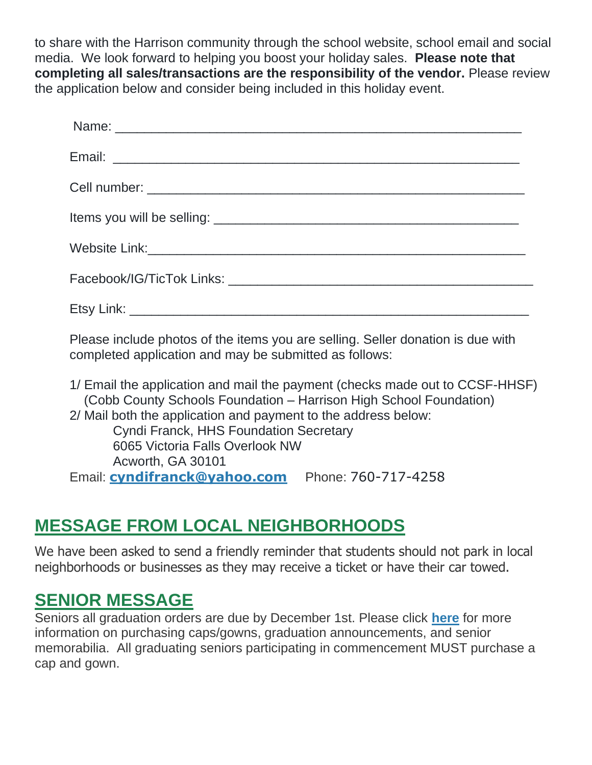to share with the Harrison community through the school website, school email and social media. We look forward to helping you boost your holiday sales. **Please note that completing all sales/transactions are the responsibility of the vendor.** Please review the application below and consider being included in this holiday event.

Please include photos of the items you are selling. Seller donation is due with completed application and may be submitted as follows:

1/ Email the application and mail the payment (checks made out to CCSF-HHSF) (Cobb County Schools Foundation – Harrison High School Foundation) 2/ Mail both the application and payment to the address below: Cyndi Franck, HHS Foundation Secretary 6065 Victoria Falls Overlook NW Acworth, GA 30101 Email: **[cyndifranck@yahoo.com](mailto:cyndifranck@yahoo.com)** Phone: 760-717-4258

## **MESSAGE FROM LOCAL NEIGHBORHOODS**

We have been asked to send a friendly reminder that students should not park in local neighborhoods or businesses as they may receive a ticket or have their car towed.

### **SENIOR MESSAGE**

Seniors all graduation orders are due by December 1st. Please click **[here](http://url503.cobbk12.org/ls/click?upn=U4hCIp-2BhfB8EhA-2BKcjUp5AtOtpNXdN8uxH-2Fy67Vg4-2FK6u-2FJ0pQfT4XhP3AbOB42p6KpP_W-2BfLYUoUwwI1tuGClKRhhPOSepcZIFoXnUIMjiA717kQ1i13BNQTwwJ9cl-2BWArXrjMDzmdYDAz26vF1M-2BNMQljB6pUPcpyHCJs2fZxeGMsIbsZca1Vw7pIqXUrBhdH-2FtOqD-2FQWCazNvqakLKd0tQUgmfgmyM-2FJ4POMOQfiZwyuaWcz8QjzmuE9yA6ebz7IgLzVyMTkMVbK0jair9lVgkQ4-2BNV86nASh3eWUU8ErIhMqaG4PZrziutzrDLAns-2FJJUMPw4eTsnCftUzJDGo0fdeA-3D-3D)** for more information on purchasing caps/gowns, graduation announcements, and senior memorabilia. All graduating seniors participating in commencement MUST purchase a cap and gown.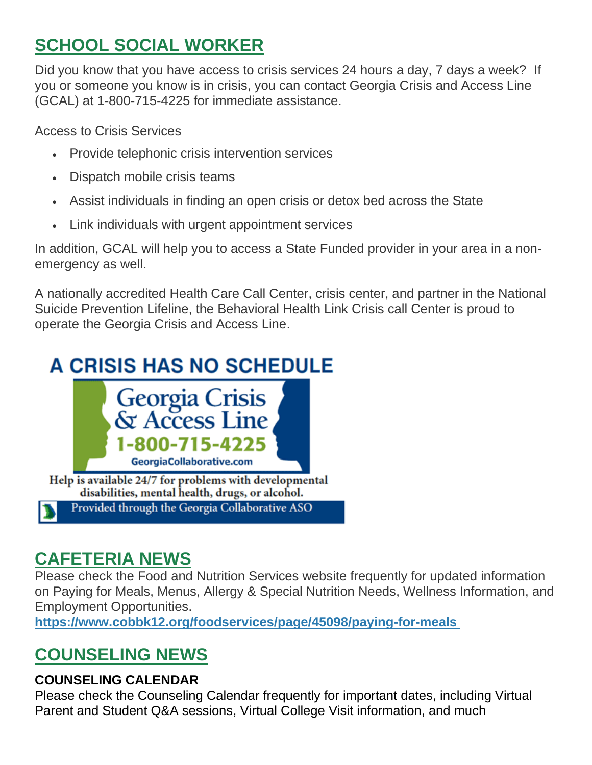# **SCHOOL SOCIAL WORKER**

Did you know that you have access to crisis services 24 hours a day, 7 days a week? If you or someone you know is in crisis, you can contact Georgia Crisis and Access Line (GCAL) at 1-800-715-4225 for immediate assistance.

Access to Crisis Services

- Provide telephonic crisis intervention services
- Dispatch mobile crisis teams
- Assist individuals in finding an open crisis or detox bed across the State
- Link individuals with urgent appointment services

In addition, GCAL will help you to access a State Funded provider in your area in a nonemergency as well.

A nationally accredited Health Care Call Center, crisis center, and partner in the National Suicide Prevention Lifeline, the Behavioral Health Link Crisis call Center is proud to operate the Georgia Crisis and Access Line.

# **A CRISIS HAS NO SCHEDULE**



disabilities, mental health, drugs, or alcohol. Provided through the Georgia Collaborative ASO

# **CAFETERIA NEWS**

Please check the Food and Nutrition Services website frequently for updated information on Paying for Meals, Menus, Allergy & Special Nutrition Needs, Wellness Information, and Employment Opportunities.

**[https://www.cobbk12.org/foodservices/page/45098/paying-for-meals](http://url503.cobbk12.org/ls/click?upn=oq5wnnHoD1NAxpT8rNAGXIgEcF6cFUXUYIe-2B8AO3LVyx4t4OJsNWVhu0iEI2j90fBOcAAqhr4f3pHktzPZuYg83p0mcu7zlRbWoKDhAG9jg-3De0hp_W-2BfLYUoUwwI1tuGClKRhhPOSepcZIFoXnUIMjiA717kQ1i13BNQTwwJ9cl-2BWArXrjMDzmdYDAz26vF1M-2BNMQljB6pUPcpyHCJs2fZxeGMsIbsZca1Vw7pIqXUrBhdH-2Ft8lM8VtYTuJhVF0kKSCWdEODtcyM98boNUvlGFvyRJhJvqFCZUe2kPT0nlorhrU7LKWZ7yTAEzFakDqzGXMiUcQQgogSJ5y0zys-2Fvj9adhuDEaS7LFPyqFqksXCQ3lrroFjKhL5iC8zyOgmqriMgB2A-3D-3D)**

# **COUNSELING NEWS**

#### **COUNSELING CALENDAR**

Please check the Counseling Calendar frequently for important dates, including Virtual Parent and Student Q&A sessions, Virtual College Visit information, and much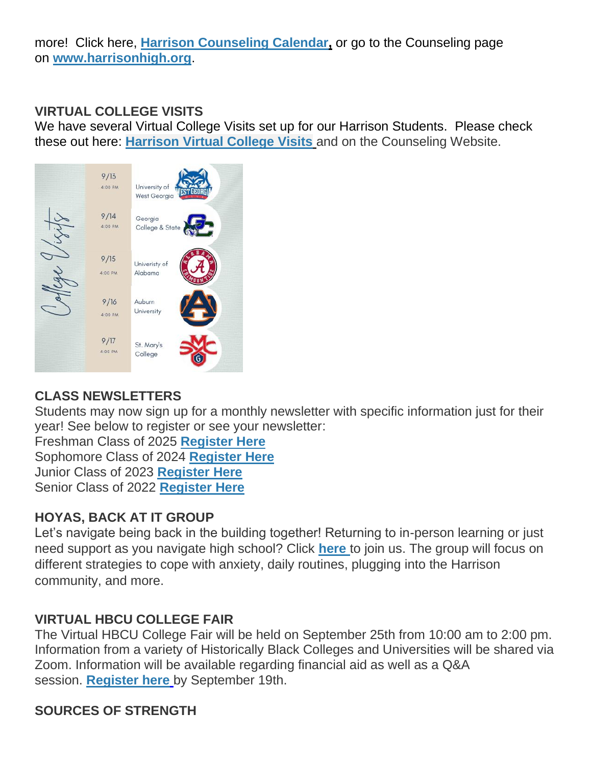more! Click here, **[Harrison Counseling Calendar,](http://url503.cobbk12.org/ls/click?upn=G8An3K6JlHsR8QtKBFuzdoB1znjZkDc3Km2Sgf1PHVpycz16KMZXgXgxh3dcC-2FS8NJmdhIjRhMEVOdXvIran0PoO612nc8dPRxDRKmrySvOyPaCPkwQVxnm5P9WY4kGuByjjBLs9jX8AnVcQz2F0xdPJWUq-2BTqmbYJsClRyFwEgRo9BS-2BibqsB2DQhPPMblVvBKr_W-2BfLYUoUwwI1tuGClKRhhPOSepcZIFoXnUIMjiA717kQ1i13BNQTwwJ9cl-2BWArXrjMDzmdYDAz26vF1M-2BNMQljB6pUPcpyHCJs2fZxeGMsIbsZca1Vw7pIqXUrBhdH-2Ft68HTUwlRzSg4aA1-2BGO-2BZJJLrlZwRIGKPv80L2-2Flthsbq1HDbUbw0G5XnhEtD3NCrEHXPq-2FpMRHjmoxyUnsA3u9mzFzP7zqV5gvOEs-2Bs5u-2BMQ9YcACIkGWs0sBtkrNj3L77Cg4iWH4VDuOchwYRo80A-3D-3D)** or go to the Counseling page on **[www.harrisonhigh.org](http://url503.cobbk12.org/ls/click?upn=oq5wnnHoD1NAxpT8rNAGXO9pgQjsMrFEdSeXOUfDN1SmFc2KsGzpApGt0h4W-2BnTi3qOMFT0pAhpU4g9jzi2oghIA-2BD5qxCmArcny4yPncCY-3DH2Sy_W-2BfLYUoUwwI1tuGClKRhhPOSepcZIFoXnUIMjiA717kQ1i13BNQTwwJ9cl-2BWArXrjMDzmdYDAz26vF1M-2BNMQljB6pUPcpyHCJs2fZxeGMsIbsZca1Vw7pIqXUrBhdH-2FtVfi9Hbzj0DnWbYxpeTuFmMYo1xwwpq0xFFHLb3-2Brlb1i4GHUvngR6v2f3QjDyuJ-2FHwKgK71G0M1BZ993gP0n-2Fw21NWLQnSgvWJlaYhwhUJhVImeuSthm9EKiG7d8VNCsLW-2Bs9rsnhyIWdIvjZIG-2B2Q-3D-3D)**.

#### **VIRTUAL COLLEGE VISITS**

We have several Virtual College Visits set up for our Harrison Students. Please check these out here: **[Harrison Virtual College Visits](http://url503.cobbk12.org/ls/click?upn=G8An3K6JlHsR8QtKBFuzdogXPJqD3Uz2QqY8s2OfxygfiXPa-2BLVg3oKWlcUFgjTffPxwSarE77p-2FOfJTl3QvbpgPiFEQheAZA772IpRJMifiqQmDkS-2BKBGjOIoKGjM7QQDhTGARgZvMYUugThyMfc1u3H422O6jO2zhAvrxBFglXp3F6gpegHyc5A3y-2BtXoarMbtV-2FDS2nSwRHJx513wzw-3D-3DwjHw_W-2BfLYUoUwwI1tuGClKRhhPOSepcZIFoXnUIMjiA717kQ1i13BNQTwwJ9cl-2BWArXrjMDzmdYDAz26vF1M-2BNMQljB6pUPcpyHCJs2fZxeGMsIbsZca1Vw7pIqXUrBhdH-2FtL0-2BiKYZ8HA0kPfv0H3pb8x17gP-2FoVPAYS9fjZoiQBf3wjDwXlpf-2BE26HyBtLdvWG-2Fgw58qmvp0lAT9BZi9G9Vm-2FIvI-2BqaZF3TTI4mQjEyC4C1aZdw3Ouf9o07oIaiwfTivDWuIwFNhq-2FYBLQoMQa2A-3D-3D)** and on the Counseling Website.



#### **CLASS NEWSLETTERS**

Students may now sign up for a monthly newsletter with specific information just for their year! See below to register or see your newsletter:

Freshman Class of 2025 **[Register Here](http://url503.cobbk12.org/ls/click?upn=Lr5Kj85exJaDj793QUoDMxoBFqYG9jsvxI4LoJlDFzMhUCpXbnVhhqIbIvVR7eDkW2lzE7udnvgKuQAcOzbNvqwOcyAOegilze8a86prJ3frgbJArpe-2Bu9kCda-2FHphK4YS3syaEi6KXoq5ecEB9E0ne7Np47MCHzPx514UIHtE2z1DtWvQSMAPs1SLFsz3LttPgv_W-2BfLYUoUwwI1tuGClKRhhPOSepcZIFoXnUIMjiA717kQ1i13BNQTwwJ9cl-2BWArXrjMDzmdYDAz26vF1M-2BNMQljB6pUPcpyHCJs2fZxeGMsIbsZca1Vw7pIqXUrBhdH-2FtpzH-2FAzWTZ6UJpeLiRTgforA-2FU1kqjAuChkhXioSgOmkINkKExQhqy1O6i-2FCUkoGZoh1eKqK44PJ-2FFtbGEr8R0j0h0HTCSJ6KoGCyqyRzHhzlheUj-2Bu7IN-2FFfGDJUmCxHfuNME0KMGdfC9JDRtmEZvA-3D-3D)** Sophomore Class of 2024 **[Register Here](http://url503.cobbk12.org/ls/click?upn=HU5K2q0Fz5ADTGboxPzOzV-2FXL0qE7BYVJk79MoYchrbCOX-2B3LonP5U2oZNoxy5AcBtluJIt2ARn38rp2KDKyAeBNN-2Fb5h181ewg5fbNU54WvCEZR610RnNa6PzQcmk9ZNdRq_W-2BfLYUoUwwI1tuGClKRhhPOSepcZIFoXnUIMjiA717kQ1i13BNQTwwJ9cl-2BWArXrjMDzmdYDAz26vF1M-2BNMQljB6pUPcpyHCJs2fZxeGMsIbsZca1Vw7pIqXUrBhdH-2FtAOTrdnR57nW5a17u1HJ0wEAlT14Wp3YiK2ZyWvOQXP5FCoHVW56ps8R0-2F096A4wSWQhPVae7wobSgDm1g2f8EJfJnY8oJs9QD7ArfaK9n0BQ1TVpC1WlrTzJGLZdkQ3Rkp5sweH1QgCHkrIDv-2FBQNA-3D-3D)** Junior Class of 2023 **[Register Here](http://url503.cobbk12.org/ls/click?upn=HU5K2q0Fz5ADTGboxPzOzc-2FmDrLeRPv-2F5f6cytuJSxI0trpBiz9UDAwo-2Bcb69f-2BotMmx4AwlG5hn6eMqzvsNDsYVvUofQRcF3tP7lqOzjVNqfGZzo2pBbv9178J2dZt2supnlVwvxbV-2B2CZdWNWDsw-3D-3DqlmS_W-2BfLYUoUwwI1tuGClKRhhPOSepcZIFoXnUIMjiA717kQ1i13BNQTwwJ9cl-2BWArXrjMDzmdYDAz26vF1M-2BNMQljB6pUPcpyHCJs2fZxeGMsIbsZca1Vw7pIqXUrBhdH-2FtZxbd8heSBYCq6Bmi6hC2y-2BKfOIX-2FSxgdo56GnEj60JyMxJ3C51Zti6kTj-2FhN8EnhehR-2FRrmjY07rPh-2FAQDJzEnrZp6DD59PpdoqT6ZhXc-2F6Co9rziNBNK1f9RsQQaJgSyGscy2F-2B9sSMgEWB9hbK-2BQ-3D-3D)** Senior Class of 2022 **[Register Here](http://url503.cobbk12.org/ls/click?upn=Lr5Kj85exJaDj793QUoDMxoBFqYG9jsvxI4LoJlDFzMhUCpXbnVhhqIbIvVR7eDkW2lzE7udnvgKuQAcOzbNvqwOcyAOegilze8a86prJ3dDt6tBPLENBJTdrQCUrueLZgINQSeok4wIPB8t7DObpshp395kKSQ2QJBawc2T6bK-2FQpKcY6cz3X5556wmPmprMu6q_W-2BfLYUoUwwI1tuGClKRhhPOSepcZIFoXnUIMjiA717kQ1i13BNQTwwJ9cl-2BWArXrjMDzmdYDAz26vF1M-2BNMQljB6pUPcpyHCJs2fZxeGMsIbsZca1Vw7pIqXUrBhdH-2FtgX-2BDqd1nvKm-2Fejqg-2F6csis61eD8kwU99Hv1GlyO99Qepn-2BFv-2F1Pz8YJL-2Fs5J4a08ywUpqyh1wB1TFyAKcdcvCxky63CjSTj1P7xWw-2BVx-2BGKlVK51ytSH0dLcwgmzP5byYTypF-2FrFQhlgDg0YxVbvcA-3D-3D)**

#### **HOYAS, BACK AT IT GROUP**

Let's navigate being back in the building together! Returning to in-person learning or just need support as you navigate high school? Click **[here](http://url503.cobbk12.org/ls/click?upn=Lr5Kj85exJaDj793QUoDMxoBFqYG9jsvxI4LoJlDFzMhUCpXbnVhhqIbIvVR7eDkW2lzE7udnvgKuQAcOzbNvqwOcyAOegilze8a86prJ3c6419VojaHWh3MTfRUqR09J1SBwpAilWUpmpdMa12f1jZgurvOJ2fjzMYAdmDxVToiiE-2FK9p8CzWdLm5OV6iE1NRdtg3vcahvcsulFHv0gAw-3D-3D3j2P_W-2BfLYUoUwwI1tuGClKRhhPOSepcZIFoXnUIMjiA717kQ1i13BNQTwwJ9cl-2BWArXrjMDzmdYDAz26vF1M-2BNMQljB6pUPcpyHCJs2fZxeGMsIbsZca1Vw7pIqXUrBhdH-2Ftzzt40WqTvJvWTZNus5nSGvTUEGi-2BZRT1VBUo4-2BeC-2FA2IUl1tIi4y75OzJIvARE0oFYnal0Embh5LeUgXmKZkBW1cGy-2BcAzpd4t4O45N7qNngy4w6zJU3hCmOOqIh249qpfibxtB7w8tZkqvr8vQZQA-3D-3D)** to join us. The group will focus on different strategies to cope with anxiety, daily routines, plugging into the Harrison community, and more.

#### **VIRTUAL HBCU COLLEGE FAIR**

The Virtual HBCU College Fair will be held on September 25th from 10:00 am to 2:00 pm. Information from a variety of Historically Black Colleges and Universities will be shared via Zoom. Information will be available regarding financial aid as well as a Q&A session. **[Register here](http://url503.cobbk12.org/ls/click?upn=7Cgej4KTsfnFpBktLp-2B-2BsLXfRiThtSeh61Lu5RVpCluolsGeENLnFxA-2Bcb4NXT33tka4_W-2BfLYUoUwwI1tuGClKRhhPOSepcZIFoXnUIMjiA717kQ1i13BNQTwwJ9cl-2BWArXrjMDzmdYDAz26vF1M-2BNMQljB6pUPcpyHCJs2fZxeGMsIbsZca1Vw7pIqXUrBhdH-2FtLHwInw3TXPw3a-2FsZxc3fiilNfBS8FuXCWXdh4AB1yJ0gWBZ6-2BAhHcnnutuqjSTwolzQ20BLSNn92tgXGYSjoD0dy8LG0M6nE-2Bhf0mLEHNIqf7RZUE7UIrFyeVgIVivvmZ-2ByxLCJ6liPF-2Fj6RlE1L4w-3D-3D)** by September 19th.

#### **SOURCES OF STRENGTH**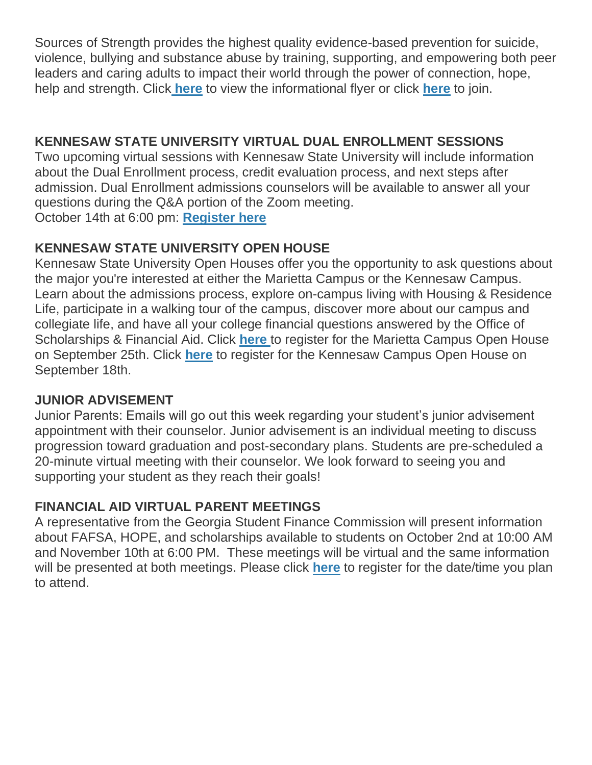Sources of Strength provides the highest quality evidence-based prevention for suicide, violence, bullying and substance abuse by training, supporting, and empowering both peer leaders and caring adults to impact their world through the power of connection, hope, help and strength. Click **[here](http://url503.cobbk12.org/ls/click?upn=HU5K2q0Fz5ADTGboxPzOzV-2FXL0qE7BYVJk79MoYchrbTeqhmypNS4Hf1PeooKeOjOddXVAktnO-2FAjkLX46asye6gUwbNwlU5QbYraxSDzrDMPOoKMiqGCdxeYB2IRu8kPblX_W-2BfLYUoUwwI1tuGClKRhhPOSepcZIFoXnUIMjiA717kQ1i13BNQTwwJ9cl-2BWArXrjMDzmdYDAz26vF1M-2BNMQljB6pUPcpyHCJs2fZxeGMsIbsZca1Vw7pIqXUrBhdH-2FtFLK8tZChhP6bUwJq080FaIHZSVfVsC9LAsIAOONF1KqqzusHSnZiUpEQLw7HHRYXKGCv4W1MPMYGbWsXxQthKWTUhEdhVSTm97yfZs5IVBhHOtkGJ0ggUOXBI3LDQDS96aO8uxi6rjS1O1jtfpbRUA-3D-3D)** to view the informational flyer or click **[here](http://url503.cobbk12.org/ls/click?upn=Lr5Kj85exJaDj793QUoDMxoBFqYG9jsvxI4LoJlDFzMhUCpXbnVhhqIbIvVR7eDkW2lzE7udnvgKuQAcOzbNvqwOcyAOegilze8a86prJ3dDt6tBPLENBJTdrQCUrueLLxsGX47LotY9khGJHeZQGV6DK-2B6dm7x4uNW7TEf5QPZGjjzxzxkhsw3EgHbNkKgodoeK_W-2BfLYUoUwwI1tuGClKRhhPOSepcZIFoXnUIMjiA717kQ1i13BNQTwwJ9cl-2BWArXrjMDzmdYDAz26vF1M-2BNMQljB6pUPcpyHCJs2fZxeGMsIbsZca1Vw7pIqXUrBhdH-2FtAmTr7eaZLrM-2F7NegFFRfTmho2uiKLa4xpgi15eklYDscX9Lo8RVd-2BEkODYRCWxhxiWQxN7fltTZSrtNr8wAx0rFdvraAlC52Iwsxwmk6LaRIlOlPfqydcg6iNx1D4-2BCmcgmKxHs5pWEcQzilCAyjUw-3D-3D)** to join.

#### **KENNESAW STATE UNIVERSITY VIRTUAL DUAL ENROLLMENT SESSIONS**

Two upcoming virtual sessions with Kennesaw State University will include information about the Dual Enrollment process, credit evaluation process, and next steps after admission. Dual Enrollment admissions counselors will be available to answer all your questions during the Q&A portion of the Zoom meeting. October 14th at 6:00 pm: **[Register here](http://url503.cobbk12.org/ls/click?upn=eEvVAr3vSvIu8v5B-2B6P-2BDWyOLXFkjC6ipoPmb4BNsA9okFew-2FX5V-2FTk4DX-2BFMZ7yZMyIn0bTmoB6p3gZKVLh0h5ACCa4Yi46hzQC4LDdIQw33UuQqKALB9lrNp9Hobpf015mysc9B9szVk7dcLdXzw-3D-3DFx6C_W-2BfLYUoUwwI1tuGClKRhhPOSepcZIFoXnUIMjiA717kQ1i13BNQTwwJ9cl-2BWArXrjMDzmdYDAz26vF1M-2BNMQljB6pUPcpyHCJs2fZxeGMsIbsZca1Vw7pIqXUrBhdH-2FtBnc9xR10oRewk1I24fhRTnbnI9O2yi1Krn4fWZHwYqdE4PEnMGE-2FRYBxh-2F6HMqLf9AC64QsJYEa6aJ4c8dxLR8EDIXGJmnGLGeZvsft5kwI9BG1E3u9j63r9ypUC4MF6d4uTLUBV5-2BBSNr-2BMGDIWWw-3D-3D)**

#### **KENNESAW STATE UNIVERSITY OPEN HOUSE**

Kennesaw State University Open Houses offer you the opportunity to ask questions about the major you're interested at either the Marietta Campus or the Kennesaw Campus. Learn about the admissions process, explore on-campus living with Housing & Residence Life, participate in a walking tour of the campus, discover more about our campus and collegiate life, and have all your college financial questions answered by the Office of Scholarships & Financial Aid. Click **[here](http://url503.cobbk12.org/ls/click?upn=eEvVAr3vSvIu8v5B-2B6P-2BDWyOLXFkjC6ipoPmb4BNsA9okFew-2FX5V-2FTk4DX-2BFMZ7yZMyIn0bTmoB6p3gZKVLh0h5ACCa4Yi46hzQC4LDdIQw33UuQqKALB9lrNp9Hobpf11aEyfUFg4y-2F01kTsfWgrw-3D-3DDcd7_W-2BfLYUoUwwI1tuGClKRhhPOSepcZIFoXnUIMjiA717kQ1i13BNQTwwJ9cl-2BWArXrjMDzmdYDAz26vF1M-2BNMQljB6pUPcpyHCJs2fZxeGMsIbsZca1Vw7pIqXUrBhdH-2FtwMe5OlZhOEgTDGriMu-2FIrooWY-2Bhqv-2Bi01PhgtU-2Fbk-2BZeXsAc6hvZ29TPKRWy-2BDKpNN3O8x577XEbyvW3lSnsQH5vdHC70QBZruSFM0e72gSnTwKbZSDa8OaUnafGBuC29t8sGRyPXp9qgZdfYdwy6w-3D-3D)** to register for the Marietta Campus Open House on September 25th. Click **[here](http://url503.cobbk12.org/ls/click?upn=eEvVAr3vSvIu8v5B-2B6P-2BDWyOLXFkjC6ipoPmb4BNsA9okFew-2FX5V-2FTk4DX-2BFMZ7yZMyIn0bTmoB6p3gZKVLh0h5ACCa4Yi46hzQC4LDdIQw33UuQqKALB9lrNp9HobpfM-2BDvkqsRQ03URBKvOdNOrA-3D-3DWJq1_W-2BfLYUoUwwI1tuGClKRhhPOSepcZIFoXnUIMjiA717kQ1i13BNQTwwJ9cl-2BWArXrjMDzmdYDAz26vF1M-2BNMQljB6pUPcpyHCJs2fZxeGMsIbsZca1Vw7pIqXUrBhdH-2FtNPBjs0YhPpruwzM8hiomaI2jwXKjusu7csGZ-2FCR6UwIFC5K3f7QMc9rtpAOQ3-2BeVjk7J9oP4FhG2BlA0ny2wyjoIqZ3-2FN4dhdGrwDXIf1PWUu3XqoeUjxV-2B6GPgWSofrzSzB9AFyc0LuvKblcJ-2BY-2FQ-3D-3D)** to register for the Kennesaw Campus Open House on September 18th.

#### **JUNIOR ADVISEMENT**

Junior Parents: Emails will go out this week regarding your student's junior advisement appointment with their counselor. Junior advisement is an individual meeting to discuss progression toward graduation and post-secondary plans. Students are pre-scheduled a 20-minute virtual meeting with their counselor. We look forward to seeing you and supporting your student as they reach their goals!

#### **FINANCIAL AID VIRTUAL PARENT MEETINGS**

A representative from the Georgia Student Finance Commission will present information about FAFSA, HOPE, and scholarships available to students on October 2nd at 10:00 AM and November 10th at 6:00 PM. These meetings will be virtual and the same information will be presented at both meetings. Please click **[here](http://url503.cobbk12.org/ls/click?upn=Lr5Kj85exJaDj793QUoDMxoBFqYG9jsvxI4LoJlDFzMhUCpXbnVhhqIbIvVR7eDkW2lzE7udnvgKuQAcOzbNvqwOcyAOegilze8a86prJ3frgbJArpe-2Bu9kCda-2FHphK4v6kZZidL8klfRE4WpiHBiOUmfjGGl1Cc6ifSLY5GZCKhb-2FDlnl9xhyqQR9BjJDEYTCkK_W-2BfLYUoUwwI1tuGClKRhhPOSepcZIFoXnUIMjiA717kQ1i13BNQTwwJ9cl-2BWArXrjMDzmdYDAz26vF1M-2BNMQljB6pUPcpyHCJs2fZxeGMsIbsZca1Vw7pIqXUrBhdH-2FtlheogKXQpNEKtJctRBccgr-2FUL8X6btu6t4XvTiMl9atS-2BMd1awX-2Ba9RlUQb4WwdMPsYrmbPEWVo2As-2BDlKYdjKb8Th-2Fk2i5A4v1EgrlswS-2BAQhRAOh-2FJbchISVz1sAVCpgtG9KN0-2F3HvDejob-2FRejw-3D-3D)** to register for the date/time you plan to attend.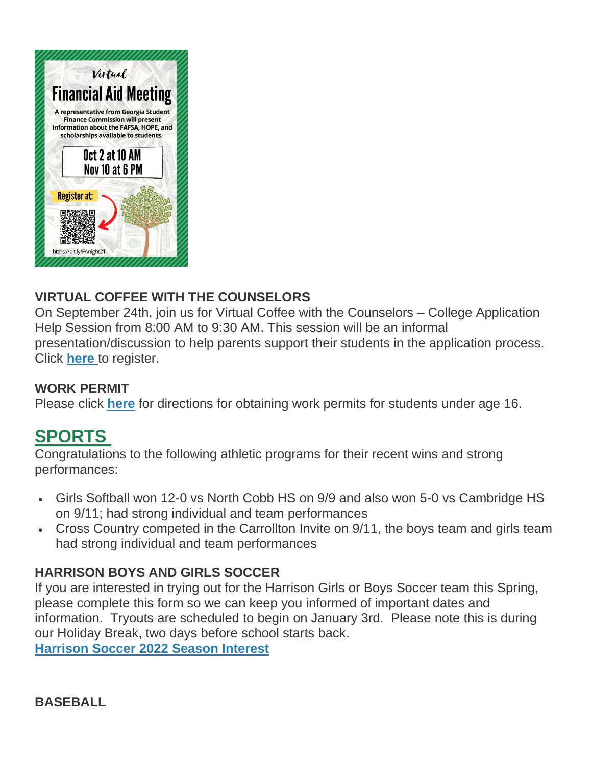

#### **VIRTUAL COFFEE WITH THE COUNSELORS**

On September 24th, join us for Virtual Coffee with the Counselors – College Application Help Session from 8:00 AM to 9:30 AM. This session will be an informal presentation/discussion to help parents support their students in the application process. Click **[here](http://url503.cobbk12.org/ls/click?upn=Lr5Kj85exJaDj793QUoDMxoBFqYG9jsvxI4LoJlDFzMhUCpXbnVhhqIbIvVR7eDkW2lzE7udnvgKuQAcOzbNvqwOcyAOegilze8a86prJ3frgbJArpe-2Bu9kCda-2FHphK4PQE6X-2BbCdCEY-2F7fLFS-2BJAHByci9VhFJXeK3huLEhGSV0Mzy2q2Iu1o4NsRLElKiSLGC3_W-2BfLYUoUwwI1tuGClKRhhPOSepcZIFoXnUIMjiA717kQ1i13BNQTwwJ9cl-2BWArXrjMDzmdYDAz26vF1M-2BNMQljB6pUPcpyHCJs2fZxeGMsIbsZca1Vw7pIqXUrBhdH-2FtTVLSDmA7cZ0WrC64f24TKYEO09sqvG2vNb0WLb94O4teW-2BUaAPj0n4CfN-2BADIuJfbHAM3MwT4hDu1Cs5jIkIy5dkGVCXHSg6ESUCaV7P2r0QXeqKQDbJNYDdVf2eVXPhDyFfQVGJZfp2Q7OK-2F9N8nA-3D-3D)** to register.

#### **WORK PERMIT**

Please click **[here](http://url503.cobbk12.org/ls/click?upn=HU5K2q0Fz5ADTGboxPzOzV-2FXL0qE7BYVJk79MoYchragV5467tisWoPAB9agzSUHDsbqBYccGjiUhV-2FDTHAbpapsLFisWAfYtS-2FB87HhzALBJIiH1yo6DrPdn5r31JRci7iB_W-2BfLYUoUwwI1tuGClKRhhPOSepcZIFoXnUIMjiA717kQ1i13BNQTwwJ9cl-2BWArXrjMDzmdYDAz26vF1M-2BNMQljB6pUPcpyHCJs2fZxeGMsIbsZca1Vw7pIqXUrBhdH-2FtpLy3m-2Bacn8-2FZyCVobzg4Q08-2Bb-2FXOTMRyW-2BJiJ8wpwsiE-2F4xOF1HGP-2F6tfrH8I7m36QFymnfxdK9R0RFfp-2Bw4J37Ip-2FmefgwFny-2Fho5db-2BzbCd5XBUYEh2-2FC7dDorsCyBPHGQdX-2Bsz66XPyJSmQdoyw-3D-3D)** for directions for obtaining work permits for students under age 16.

# **SPORTS**

Congratulations to the following athletic programs for their recent wins and strong performances:

- Girls Softball won 12-0 vs North Cobb HS on 9/9 and also won 5-0 vs Cambridge HS on 9/11; had strong individual and team performances
- Cross Country competed in the Carrollton Invite on 9/11, the boys team and girls team had strong individual and team performances

#### **HARRISON BOYS AND GIRLS SOCCER**

If you are interested in trying out for the Harrison Girls or Boys Soccer team this Spring, please complete this form so we can keep you informed of important dates and information. Tryouts are scheduled to begin on January 3rd. Please note this is during our Holiday Break, two days before school starts back.

**[Harrison Soccer 2022 Season Interest](http://url503.cobbk12.org/ls/click?upn=Q-2BKaVIKfS2AqG1NntRWXIqe3VLrAF6HtQZXW1Eop37-2BHD1-2FJeBI8RcsNCzxppcBz0DlAzN5HVHa4jFBsYhEq-2FZKWsB3iNtsHw4Z5XJqTGc72hmHzmKKg4NHOq-2FMdFS-2BPFAc8zjlc4srPGK983W1UhlnLKOyaAWxAV6iaf6e8cGb9Ws5YsW6cbu7jxNYJB0Fw3gU8sntLk-2FwK04fzJMNAtGI6Q2gD-2B5zWjGOVeo3YlyGF4gUuQAV50pIp4pmBtAbsX7nxD8ts1TkRrqXP9lROXTqoK-2BLjEVift3E-2F1TsqRfXqFVjq1ZbaFdHlBGXROa1zlRNt-2BfS-2FGIP9ARHNQtC4MKtU-2FOD-2FIdsTq8FJcdrWhgJTZ2SY6vg8MCFdwudDiwtvTQAIoaJPaZAfcO0sWPTLGUYbcbJ2udULkQyax8h7jdytBwr4PbjmJ9-2BkYegJwUi3o8GlttiOa9gwjzUvgCso54sVet1TZZAId6iUQBanfpA9Mj6b1RIB3TCqU4HBiwd8hJnetFvIU0iydE7wOo4Mra7LkREK4oUh6ylSJ0WskUkEak1MKXMKBK9ZNXxItjunogd5VU-2BClUIYqPY-2Fo4JmvsHEfq63UG9NwT8LjTo9tALAHHgNO4qGdhsZgn9PCcKElnvKFe36pf5u3XZ2SFqtJNjXl6mpJr6tqMUz58s-2BMHJe7Xf9dv4B2AKM6hkFk1qayfse_W-2BfLYUoUwwI1tuGClKRhhPOSepcZIFoXnUIMjiA717kQ1i13BNQTwwJ9cl-2BWArXrjMDzmdYDAz26vF1M-2BNMQljB6pUPcpyHCJs2fZxeGMsIbsZca1Vw7pIqXUrBhdH-2FtHX459LW4ZU1if06gJhaS-2FnRmFDQE9TRqveZ8AUlnCg9CmqrHo-2FQp8evv7Exrn0cbYx-2BFw8NL1RNVkSldu609qrUHCdUYqG0rzw2cJBKtGrVVXI3DYeTMY8ETnADcdI4wl8GJE3pCsBWnMmlGOBkiRA-3D-3D)**